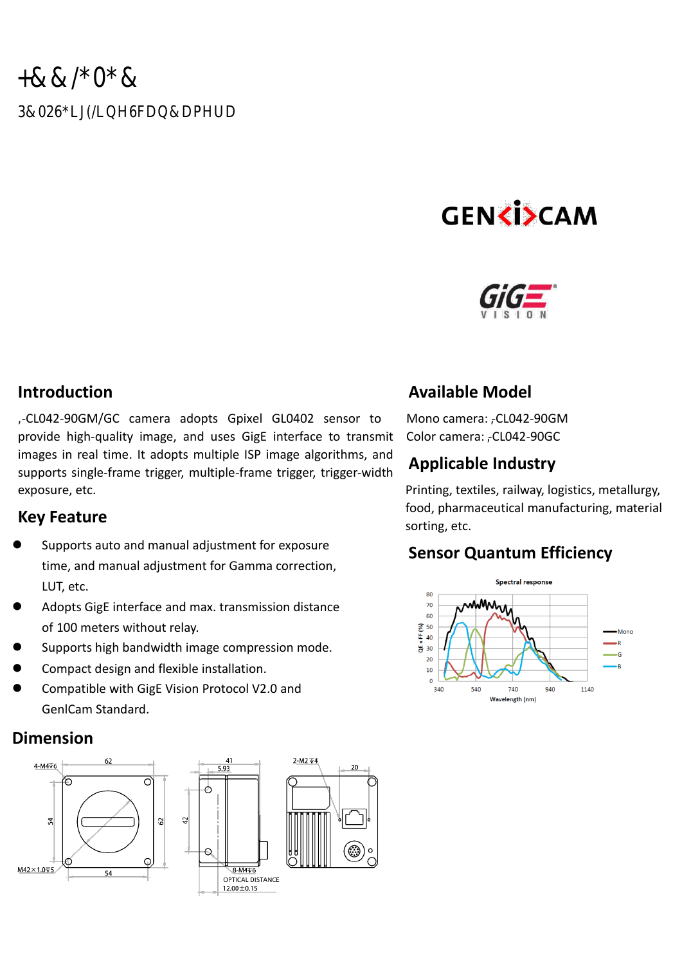# **GENKI>CAM**



#### **Introduction**

**,**-CL042-90GM/GC camera adopts Gpixel GL0402 sensor to provide high-quality image, and uses GigE interface to transmit images in real time. It adopts multiple ISP image algorithms, and supports single-frame trigger, multiple-frame trigger, trigger-width exposure, etc.

#### **Key Feature**

- Supports auto and manual adjustment for exposure time, and manual adjustment for Gamma correction, LUT, etc.
- Adopts GigE interface and max. transmission distance of 100 meters without relay.
- Supports high bandwidth image compression mode.
- Compact design and flexible installation.
- Compatible with GigE Vision Protocol V2.0 and GenlCam Standard.

#### **Dimension**



#### **Available Model**

Mono camera: HC-CL042-90GM Color camera: HC-CL042-90GC

### **Applicable Industry**

Printing, textiles, railway, logistics, metallurgy, food, pharmaceutical manufacturing, material sorting, etc.

#### **Sensor Quantum Efficiency**